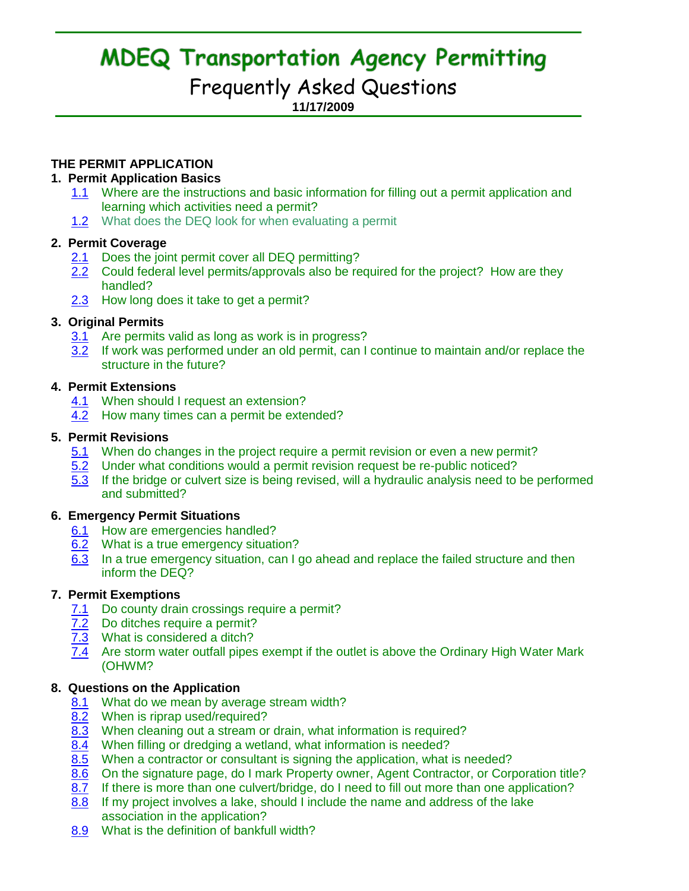# **MDEQ Transportation Agency Permitting**

## Frequently Asked Questions

**11/17/2009**

## **THE PERMIT APPLICATION**

## **1. Permit Application Basics**

- 1.1 Where are the instructions and basic information for filling out a permit application and learning which activities need a permit?
- 1.2 What does the DEQ look for when evaluating a permit

## **2. Permit Coverage**

- 2.1 Does the joint permit cover all DEQ permitting?
- 2.2 Could federal level permits/approvals also be required for the project? How are they handled?
- 2.3 How long does it take to get a permit?

## **3. Original Permits**

- 3.1 Are permits valid as long as work is in progress?
- 3.2 If work was performed under an old permit, can I continue to maintain and/or replace the structure in the future?

## **4. Permit Extensions**

- 4.1 When should I request an extension?
- 4.2 How many times can a permit be extended?

## **5. Permit Revisions**

- 5.1 When do changes in the project require a permit revision or even a new permit?
- 5.2 Under what conditions would a permit revision request be re-public noticed?
- 5.3 If the bridge or culvert size is being revised, will a hydraulic analysis need to be performed and submitted?

## **6. Emergency Permit Situations**

- 6.1 How are emergencies handled?
- 6.2 What is a true emergency situation?
- 6.3 In a true emergency situation, can I go ahead and replace the failed structure and then inform the DEQ?

## **7. Permit Exemptions**

- 7.1 Do county drain crossings require a permit?
- 7.2 Do ditches require a permit?
- 7.3 What is considered a ditch?
- 7.4 Are storm water outfall pipes exempt if the outlet is above the Ordinary High Water Mark (OHWM?

## **8. Questions on the Application**

- 8.1 What do we mean by average stream width?
- 8.2 When is riprap used/required?
- 8.3 When cleaning out a stream or drain, what information is required?
- 8.4 When filling or dredging a wetland, what information is needed?
- 8.5 When a contractor or consultant is signing the application, what is needed?
- 8.6 On the signature page, do I mark Property owner, Agent Contractor, or Corporation title?
- 8.7 If there is more than one culvert/bridge, do I need to fill out more than one application?
- 8.8 If my project involves a lake, should I include the name and address of the lake association in the application?
- 8.9 What is the definition of bankfull width?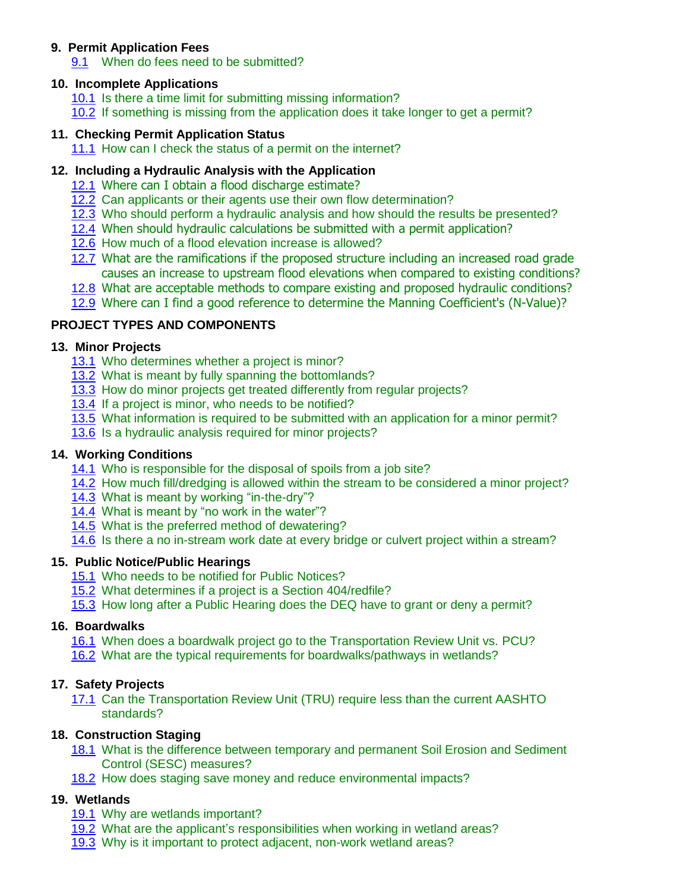## **9. Permit Application Fees**

9.1 When do fees need to be submitted?

## **10. Incomplete Applications**

- 10.1 Is there a time limit for submitting missing information? 10.2 If something is missing from the application does it take longer to get a permit?
- **11. Checking Permit Application Status**

11.1 How can I check the status of a permit on the internet?

## **12. Including a Hydraulic Analysis with the Application**

- 12.1 Where can I obtain a flood discharge estimate?
- 12.2 Can applicants or their agents use their own flow determination?
- 12.3 Who should perform a hydraulic analysis and how should the results be presented?
- 12.4 When should hydraulic calculations be submitted with a permit application?
- 12.6 How much of a flood elevation increase is allowed?
- 12.7 What are the ramifications if the proposed structure including an increased road grade causes an increase to upstream flood elevations when compared to existing conditions?
- 12.8 What are acceptable methods to compare existing and proposed hydraulic conditions?
- 12.9 Where can I find a good reference to determine the Manning Coefficient's (N-Value)?

## **PROJECT TYPES AND COMPONENTS**

## **13. Minor Projects**

- 13.1 Who determines whether a project is minor?
- 13.2 What is meant by fully spanning the bottomlands?
- 13.3 How do minor projects get treated differently from regular projects?
- 13.4 If a project is minor, who needs to be notified?
- 13.5 What information is required to be submitted with an application for a minor permit?
- 13.6 Is a hydraulic analysis required for minor projects?

## **14. Working Conditions**

- 14.1 Who is responsible for the disposal of spoils from a job site?
- 14.2 How much fill/dredging is allowed within the stream to be considered a minor project?
- 14.3 What is meant by working "in-the-dry"?
- 14.4 What is meant by "no work in the water"?
- 14.5 What is the preferred method of dewatering?
- 14.6 Is there a no in-stream work date at every bridge or culvert project within a stream?

## **15. Public Notice/Public Hearings**

- 15.1 Who needs to be notified for Public Notices?
- 15.2 What determines if a project is a Section 404/redfile?
- 15.3 How long after a Public Hearing does the DEQ have to grant or deny a permit?

## **16. Boardwalks**

- 16.1 When does a boardwalk project go to the Transportation Review Unit vs. PCU?
- 16.2 What are the typical requirements for boardwalks/pathways in wetlands?

## **17. Safety Projects**

17.1 Can the Transportation Review Unit (TRU) require less than the current AASHTO standards?

## **18. Construction Staging**

- 18.1 What is the difference between temporary and permanent Soil Erosion and Sediment Control (SESC) measures?
- 18.2 How does staging save money and reduce environmental impacts?

## **19. Wetlands**

- 19.1 Why are wetlands important?
- 19.2 What are the applicant's responsibilities when working in wetland areas?
- 19.3 Why is it important to protect adjacent, non-work wetland areas?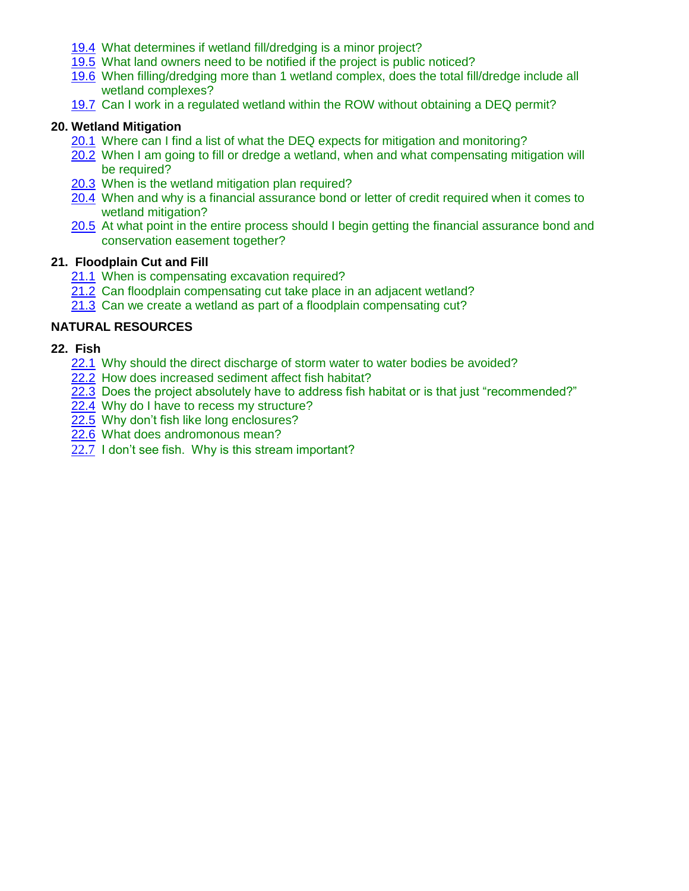- 19.4 What determines if wetland fill/dredging is a minor project?
- 19.5 What land owners need to be notified if the project is public noticed?
- 19.6 When filling/dredging more than 1 wetland complex, does the total fill/dredge include all wetland complexes?
- 19.7 Can I work in a regulated wetland within the ROW without obtaining a DEQ permit?

#### **20. Wetland Mitigation**

- 20.1 Where can I find a list of what the DEQ expects for mitigation and monitoring?
- 20.2 When I am going to fill or dredge a wetland, when and what compensating mitigation will be required?
- 20.3 When is the wetland mitigation plan required?
- 20.4 When and why is a financial assurance bond or letter of credit required when it comes to wetland mitigation?
- 20.5 At what point in the entire process should I begin getting the financial assurance bond and conservation easement together?

#### **21. Floodplain Cut and Fill**

- 21.1 When is compensating excavation required?
- 21.2 Can floodplain compensating cut take place in an adjacent wetland?
- 21.3 Can we create a wetland as part of a floodplain compensating cut?

## **NATURAL RESOURCES**

- **22. Fish**
	- 22.1 Why should the direct discharge of storm water to water bodies be avoided?
	- 22.2 How does increased sediment affect fish habitat?
	- 22.3 Does the project absolutely have to address fish habitat or is that just "recommended?"
	- 22.4 Why do I have to recess my structure?
	- 22.5 Why don't fish like long enclosures?
	- 22.6 What does andromonous mean?
	- 22.7 I don't see fish. Why is this stream important?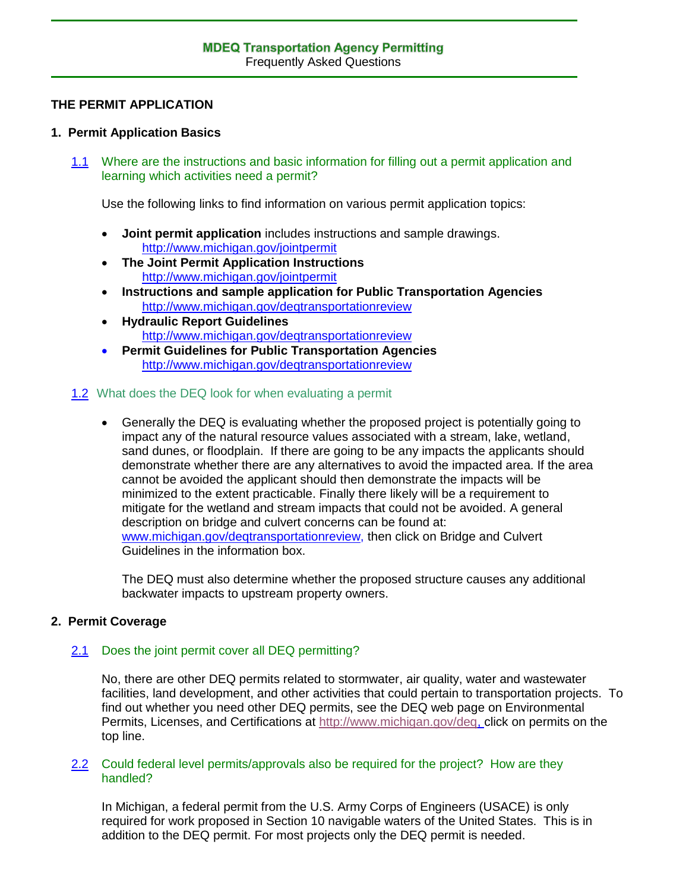## **THE PERMIT APPLICATION**

## **1. Permit Application Basics**

1.1 Where are the instructions and basic information for filling out a permit application and learning which activities need a permit?

Use the following links to find information on various permit application topics:

- **Joint permit application** includes instructions and sample drawings. <http://www.michigan.gov/jointpermit>
- **The Joint Permit Application Instructions** <http://www.michigan.gov/jointpermit>
- **Instructions and sample application for Public Transportation Agencies** <http://www.michigan.gov/deqtransportationreview>
- **Hydraulic Report Guidelines** <http://www.michigan.gov/deqtransportationreview>
- **Permit Guidelines for Public Transportation Agencies** <http://www.michigan.gov/deqtransportationreview>

## 1.2 What does the DEQ look for when evaluating a permit

 Generally the DEQ is evaluating whether the proposed project is potentially going to impact any of the natural resource values associated with a stream, lake, wetland, sand dunes, or floodplain. If there are going to be any impacts the applicants should demonstrate whether there are any alternatives to avoid the impacted area. If the area cannot be avoided the applicant should then demonstrate the impacts will be minimized to the extent practicable. Finally there likely will be a requirement to mitigate for the wetland and stream impacts that could not be avoided. A general description on bridge and culvert concerns can be found at: www.michigan.gov/degtransportationreview, then click on Bridge and Culvert Guidelines in the information box.

The DEQ must also determine whether the proposed structure causes any additional backwater impacts to upstream property owners.

## **2. Permit Coverage**

## 2.1 Does the joint permit cover all DEQ permitting?

No, there are other DEQ permits related to stormwater, air quality, water and wastewater facilities, land development, and other activities that could pertain to transportation projects. To find out whether you need other DEQ permits, see the DEQ web page on Environmental Permits, Licenses, and Certifications at [http://www.michigan.gov/deq,](http://www.michigan.gov/deq) click on permits on the top line.

#### 2.2 Could federal level permits/approvals also be required for the project? How are they handled?

In Michigan, a federal permit from the U.S. Army Corps of Engineers (USACE) is only required for work proposed in Section 10 navigable waters of the United States. This is in addition to the DEQ permit. For most projects only the DEQ permit is needed.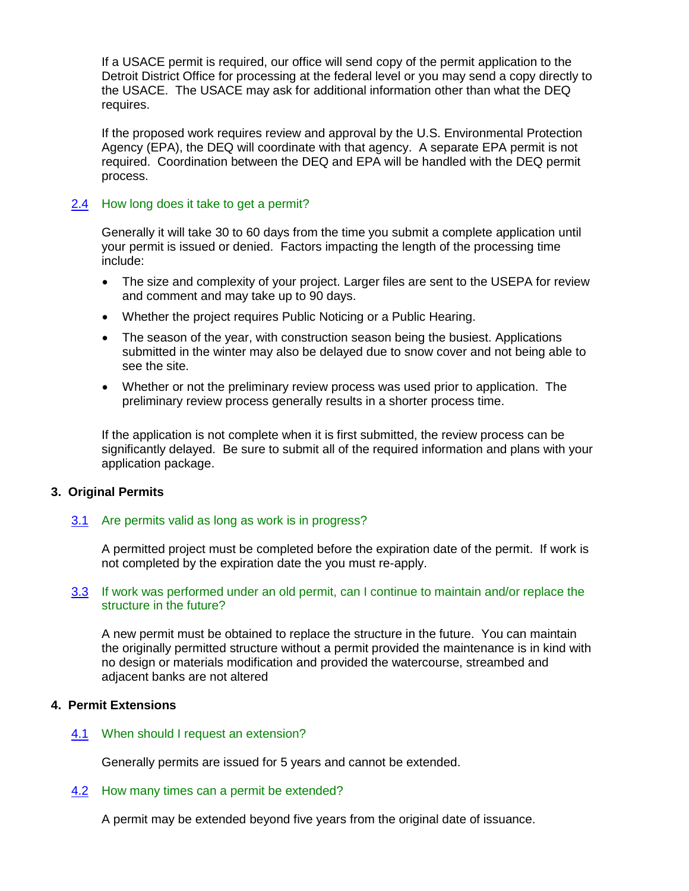If a USACE permit is required, our office will send copy of the permit application to the Detroit District Office for processing at the federal level or you may send a copy directly to the USACE. The USACE may ask for additional information other than what the DEQ requires.

If the proposed work requires review and approval by the U.S. Environmental Protection Agency (EPA), the DEQ will coordinate with that agency. A separate EPA permit is not required. Coordination between the DEQ and EPA will be handled with the DEQ permit process.

#### 2.4 How long does it take to get a permit?

Generally it will take 30 to 60 days from the time you submit a complete application until your permit is issued or denied. Factors impacting the length of the processing time include:

- The size and complexity of your project. Larger files are sent to the USEPA for review and comment and may take up to 90 days.
- Whether the project requires Public Noticing or a Public Hearing.
- The season of the year, with construction season being the busiest. Applications submitted in the winter may also be delayed due to snow cover and not being able to see the site.
- Whether or not the preliminary review process was used prior to application. The preliminary review process generally results in a shorter process time.

If the application is not complete when it is first submitted, the review process can be significantly delayed. Be sure to submit all of the required information and plans with your application package.

#### **3. Original Permits**

#### 3.1 Are permits valid as long as work is in progress?

A permitted project must be completed before the expiration date of the permit. If work is not completed by the expiration date the you must re-apply.

#### 3.3 If work was performed under an old permit, can I continue to maintain and/or replace the structure in the future?

A new permit must be obtained to replace the structure in the future. You can maintain the originally permitted structure without a permit provided the maintenance is in kind with no design or materials modification and provided the watercourse, streambed and adjacent banks are not altered

#### **4. Permit Extensions**

#### 4.1 When should I request an extension?

Generally permits are issued for 5 years and cannot be extended.

#### 4.2 How many times can a permit be extended?

A permit may be extended beyond five years from the original date of issuance.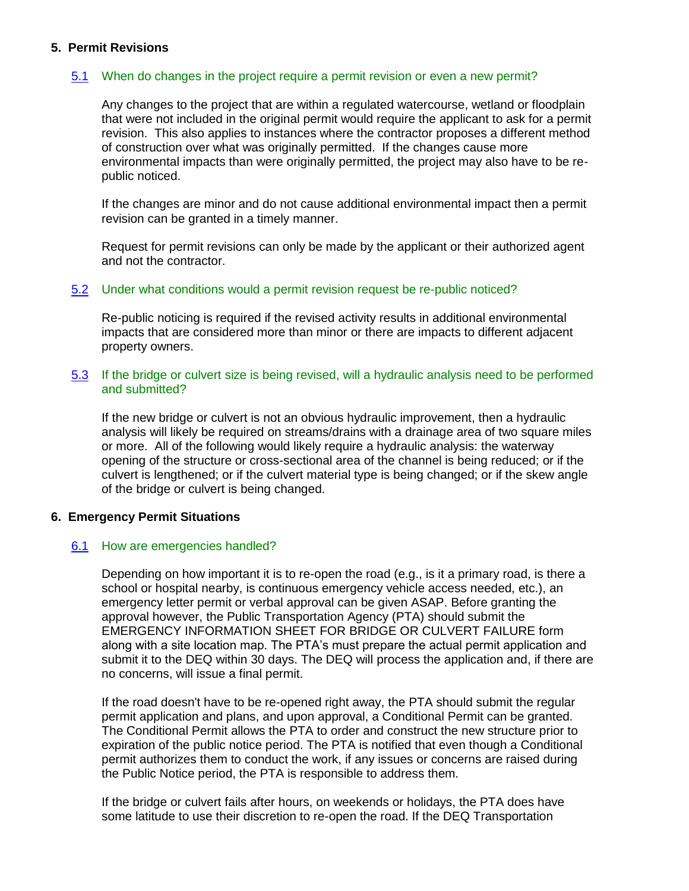#### **5. Permit Revisions**

## 5.1 When do changes in the project require a permit revision or even a new permit?

Any changes to the project that are within a regulated watercourse, wetland or floodplain that were not included in the original permit would require the applicant to ask for a permit revision. This also applies to instances where the contractor proposes a different method of construction over what was originally permitted. If the changes cause more environmental impacts than were originally permitted, the project may also have to be republic noticed.

If the changes are minor and do not cause additional environmental impact then a permit revision can be granted in a timely manner.

Request for permit revisions can only be made by the applicant or their authorized agent and not the contractor.

#### 5.2 Under what conditions would a permit revision request be re-public noticed?

Re-public noticing is required if the revised activity results in additional environmental impacts that are considered more than minor or there are impacts to different adjacent property owners.

#### 5.3 If the bridge or culvert size is being revised, will a hydraulic analysis need to be performed and submitted?

If the new bridge or culvert is not an obvious hydraulic improvement, then a hydraulic analysis will likely be required on streams/drains with a drainage area of two square miles or more. All of the following would likely require a hydraulic analysis: the waterway opening of the structure or cross-sectional area of the channel is being reduced; or if the culvert is lengthened; or if the culvert material type is being changed; or if the skew angle of the bridge or culvert is being changed.

#### **6. Emergency Permit Situations**

#### 6.1 How are emergencies handled?

Depending on how important it is to re-open the road (e.g., is it a primary road, is there a school or hospital nearby, is continuous emergency vehicle access needed, etc.), an emergency letter permit or verbal approval can be given ASAP. Before granting the approval however, the Public Transportation Agency (PTA) should submit the EMERGENCY INFORMATION SHEET FOR BRIDGE OR CULVERT FAILURE form along with a site location map. The PTA's must prepare the actual permit application and submit it to the DEQ within 30 days. The DEQ will process the application and, if there are no concerns, will issue a final permit.

If the road doesn't have to be re-opened right away, the PTA should submit the regular permit application and plans, and upon approval, a Conditional Permit can be granted. The Conditional Permit allows the PTA to order and construct the new structure prior to expiration of the public notice period. The PTA is notified that even though a Conditional permit authorizes them to conduct the work, if any issues or concerns are raised during the Public Notice period, the PTA is responsible to address them.

If the bridge or culvert fails after hours, on weekends or holidays, the PTA does have some latitude to use their discretion to re-open the road. If the DEQ Transportation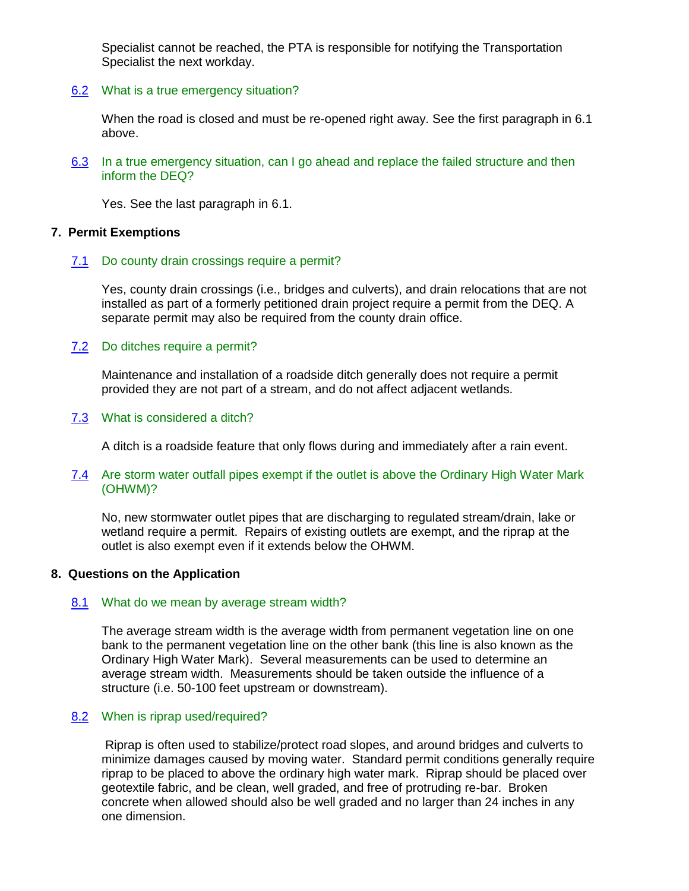Specialist cannot be reached, the PTA is responsible for notifying the Transportation Specialist the next workday.

6.2 What is a true emergency situation?

When the road is closed and must be re-opened right away. See the first paragraph in 6.1 above.

6.3 In a true emergency situation, can I go ahead and replace the failed structure and then inform the DEQ?

Yes. See the last paragraph in 6.1.

#### **7. Permit Exemptions**

7.1 Do county drain crossings require a permit?

Yes, county drain crossings (i.e., bridges and culverts), and drain relocations that are not installed as part of a formerly petitioned drain project require a permit from the DEQ. A separate permit may also be required from the county drain office.

## 7.2 Do ditches require a permit?

Maintenance and installation of a roadside ditch generally does not require a permit provided they are not part of a stream, and do not affect adjacent wetlands.

7.3 What is considered a ditch?

A ditch is a roadside feature that only flows during and immediately after a rain event.

#### 7.4 Are storm water outfall pipes exempt if the outlet is above the Ordinary High Water Mark (OHWM)?

No, new stormwater outlet pipes that are discharging to regulated stream/drain, lake or wetland require a permit. Repairs of existing outlets are exempt, and the riprap at the outlet is also exempt even if it extends below the OHWM.

#### **8. Questions on the Application**

#### 8.1 What do we mean by average stream width?

The average stream width is the average width from permanent vegetation line on one bank to the permanent vegetation line on the other bank (this line is also known as the Ordinary High Water Mark). Several measurements can be used to determine an average stream width. Measurements should be taken outside the influence of a structure (i.e. 50-100 feet upstream or downstream).

#### 8.2 When is riprap used/required?

Riprap is often used to stabilize/protect road slopes, and around bridges and culverts to minimize damages caused by moving water. Standard permit conditions generally require riprap to be placed to above the ordinary high water mark. Riprap should be placed over geotextile fabric, and be clean, well graded, and free of protruding re-bar. Broken concrete when allowed should also be well graded and no larger than 24 inches in any one dimension.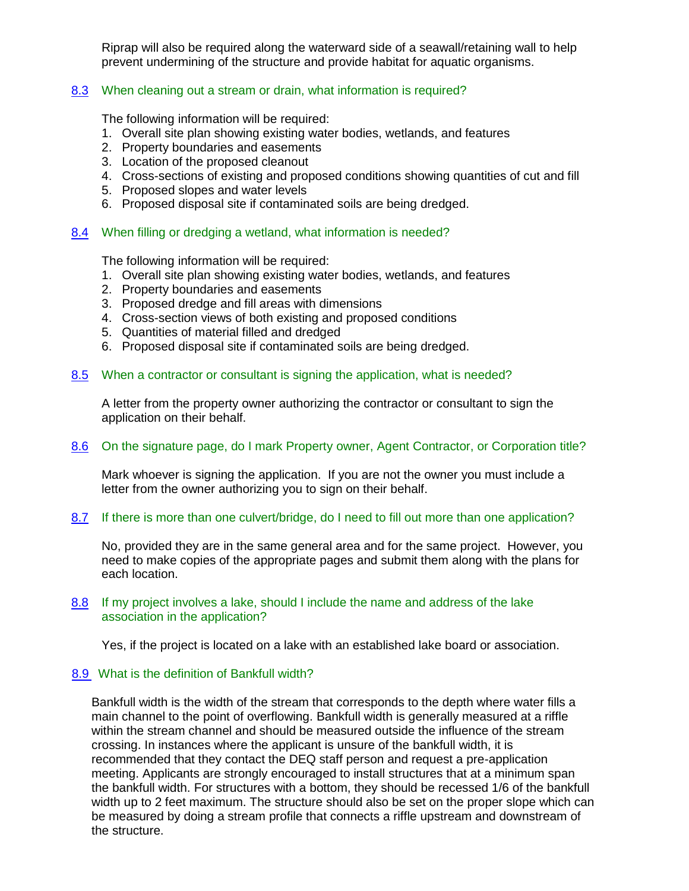Riprap will also be required along the waterward side of a seawall/retaining wall to help prevent undermining of the structure and provide habitat for aquatic organisms.

## 8.3 When cleaning out a stream or drain, what information is required?

The following information will be required:

- 1. Overall site plan showing existing water bodies, wetlands, and features
- 2. Property boundaries and easements
- 3. Location of the proposed cleanout
- 4. Cross-sections of existing and proposed conditions showing quantities of cut and fill
- 5. Proposed slopes and water levels
- 6. Proposed disposal site if contaminated soils are being dredged.

#### 8.4 When filling or dredging a wetland, what information is needed?

The following information will be required:

- 1. Overall site plan showing existing water bodies, wetlands, and features
- 2. Property boundaries and easements
- 3. Proposed dredge and fill areas with dimensions
- 4. Cross-section views of both existing and proposed conditions
- 5. Quantities of material filled and dredged
- 6. Proposed disposal site if contaminated soils are being dredged.

#### 8.5 When a contractor or consultant is signing the application, what is needed?

A letter from the property owner authorizing the contractor or consultant to sign the application on their behalf.

#### 8.6 On the signature page, do I mark Property owner, Agent Contractor, or Corporation title?

Mark whoever is signing the application. If you are not the owner you must include a letter from the owner authorizing you to sign on their behalf.

#### 8.7 If there is more than one culvert/bridge, do I need to fill out more than one application?

No, provided they are in the same general area and for the same project. However, you need to make copies of the appropriate pages and submit them along with the plans for each location.

#### 8.8 If my project involves a lake, should I include the name and address of the lake association in the application?

Yes, if the project is located on a lake with an established lake board or association.

#### 8.9 What is the definition of Bankfull width?

Bankfull width is the width of the stream that corresponds to the depth where water fills a main channel to the point of overflowing. Bankfull width is generally measured at a riffle within the stream channel and should be measured outside the influence of the stream crossing. In instances where the applicant is unsure of the bankfull width, it is recommended that they contact the DEQ staff person and request a pre-application meeting. Applicants are strongly encouraged to install structures that at a minimum span the bankfull width. For structures with a bottom, they should be recessed 1/6 of the bankfull width up to 2 feet maximum. The structure should also be set on the proper slope which can be measured by doing a stream profile that connects a riffle upstream and downstream of the structure.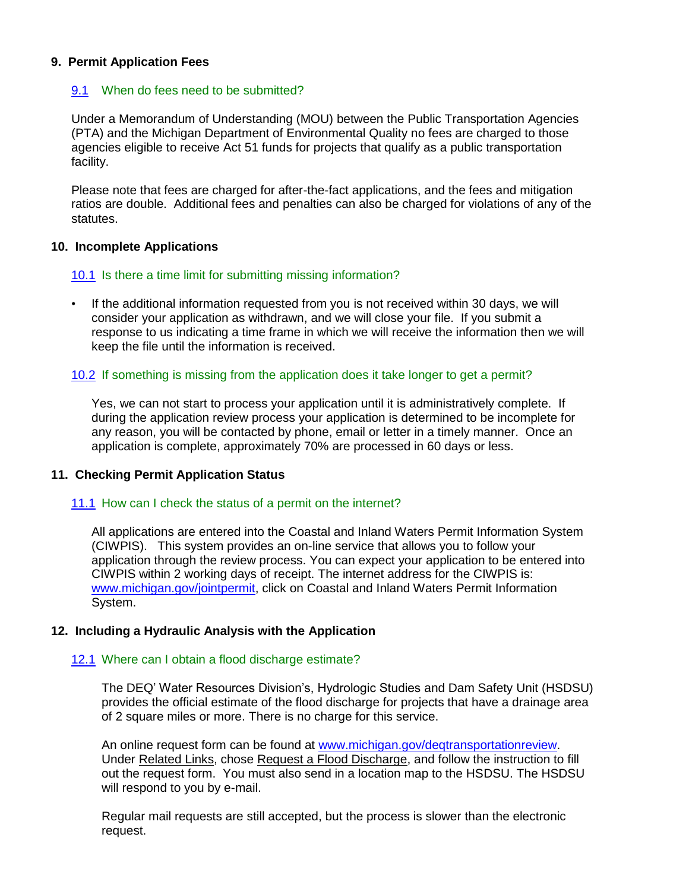#### **9. Permit Application Fees**

#### 9.1 When do fees need to be submitted?

Under a Memorandum of Understanding (MOU) between the Public Transportation Agencies (PTA) and the Michigan Department of Environmental Quality no fees are charged to those agencies eligible to receive Act 51 funds for projects that qualify as a public transportation facility.

Please note that fees are charged for after-the-fact applications, and the fees and mitigation ratios are double. Additional fees and penalties can also be charged for violations of any of the statutes.

#### **10. Incomplete Applications**

#### 10.1 Is there a time limit for submitting missing information?

• If the additional information requested from you is not received within 30 days, we will consider your application as withdrawn, and we will close your file. If you submit a response to us indicating a time frame in which we will receive the information then we will keep the file until the information is received.

## 10.2 If something is missing from the application does it take longer to get a permit?

Yes, we can not start to process your application until it is administratively complete. If during the application review process your application is determined to be incomplete for any reason, you will be contacted by phone, email or letter in a timely manner. Once an application is complete, approximately 70% are processed in 60 days or less.

#### **11. Checking Permit Application Status**

#### 11.1 How can I check the status of a permit on the internet?

All applications are entered into the Coastal and Inland Waters Permit Information System (CIWPIS). This system provides an on-line service that allows you to follow your application through the review process. You can expect your application to be entered into CIWPIS within 2 working days of receipt. The internet address for the CIWPIS is: [www.michigan.gov/jointpermit,](http://www.michigan.gov/jointpermit) click on Coastal and Inland Waters Permit Information System.

#### **12. Including a Hydraulic Analysis with the Application**

#### 12.1 Where can I obtain a flood discharge estimate?

The DEQ' Water Resources Division's, Hydrologic Studies and Dam Safety Unit (HSDSU) provides the official estimate of the flood discharge for projects that have a drainage area of 2 square miles or more. There is no charge for this service.

An online request form can be found at [www.michigan.gov/deqtransportationreview.](http://www.michigan.gov/deqtransportationreview) Under Related Links, chose Request a Flood Discharge, and follow the instruction to fill out the request form. You must also send in a location map to the HSDSU. The HSDSU will respond to you by e-mail.

Regular mail requests are still accepted, but the process is slower than the electronic request.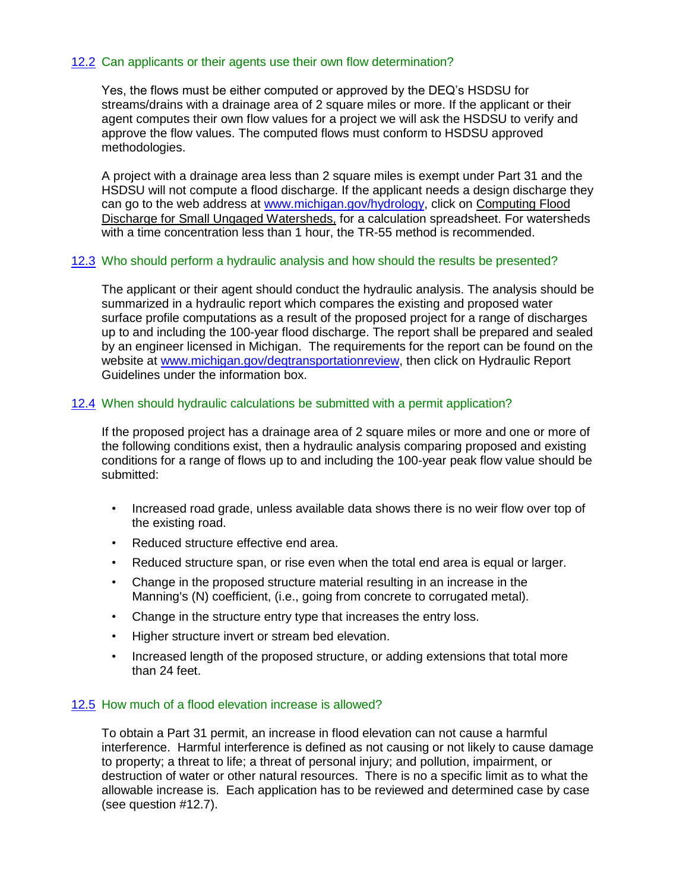## 12.2 Can applicants or their agents use their own flow determination?

Yes, the flows must be either computed or approved by the DEQ's HSDSU for streams/drains with a drainage area of 2 square miles or more. If the applicant or their agent computes their own flow values for a project we will ask the HSDSU to verify and approve the flow values. The computed flows must conform to HSDSU approved methodologies.

A project with a drainage area less than 2 square miles is exempt under Part 31 and the HSDSU will not compute a flood discharge. If the applicant needs a design discharge they can go to the web address at [www.michigan.gov/hydrology,](http://www.michigan.gov/hydrology) click on Computing Flood Discharge for Small Ungaged Watersheds, for a calculation spreadsheet. For watersheds with a time concentration less than 1 hour, the TR-55 method is recommended.

#### 12.3 Who should perform a hydraulic analysis and how should the results be presented?

The applicant or their agent should conduct the hydraulic analysis. The analysis should be summarized in a hydraulic report which compares the existing and proposed water surface profile computations as a result of the proposed project for a range of discharges up to and including the 100-year flood discharge. The report shall be prepared and sealed by an engineer licensed in Michigan. The requirements for the report can be found on the website at [www.michigan.gov/deqtransportationreview,](http://www.michigan.gov/deq/0,1607,7-135-3313_3684_15299---,00.html) then click on Hydraulic Report Guidelines under the information box.

#### 12.4 When should hydraulic calculations be submitted with a permit application?

If the proposed project has a drainage area of 2 square miles or more and one or more of the following conditions exist, then a hydraulic analysis comparing proposed and existing conditions for a range of flows up to and including the 100-year peak flow value should be submitted:

- Increased road grade, unless available data shows there is no weir flow over top of the existing road.
- Reduced structure effective end area.
- Reduced structure span, or rise even when the total end area is equal or larger.
- Change in the proposed structure material resulting in an increase in the Manning's (N) coefficient, (i.e., going from concrete to corrugated metal).
- Change in the structure entry type that increases the entry loss.
- Higher structure invert or stream bed elevation.
- Increased length of the proposed structure, or adding extensions that total more than 24 feet.

#### 12.5 How much of a flood elevation increase is allowed?

To obtain a Part 31 permit, an increase in flood elevation can not cause a harmful interference. Harmful interference is defined as not causing or not likely to cause damage to property; a threat to life; a threat of personal injury; and pollution, impairment, or destruction of water or other natural resources. There is no a specific limit as to what the allowable increase is. Each application has to be reviewed and determined case by case (see question #12.7).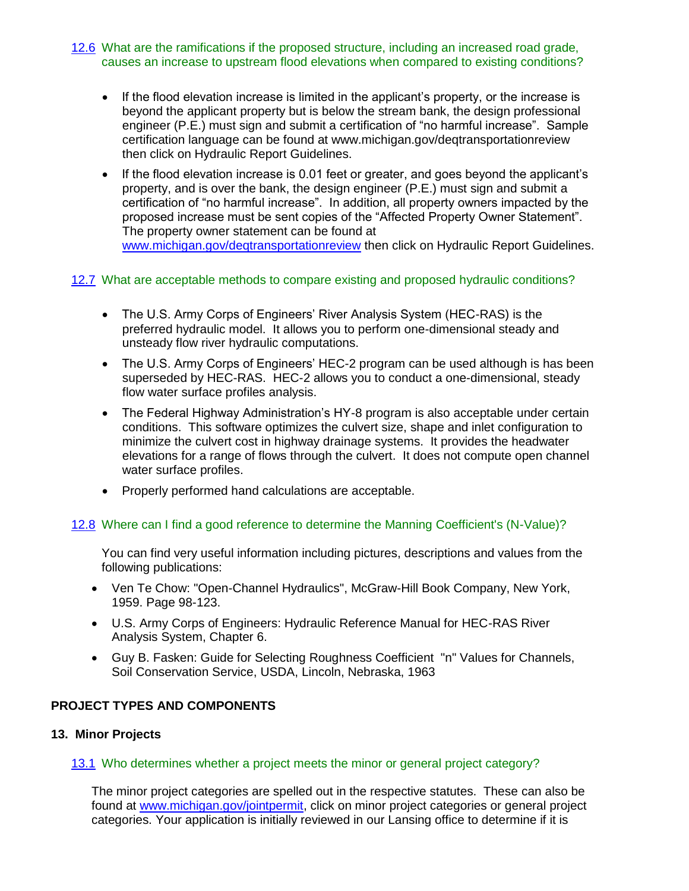#### 12.6 What are the ramifications if the proposed structure, including an increased road grade, causes an increase to upstream flood elevations when compared to existing conditions?

- If the flood elevation increase is limited in the applicant's property, or the increase is beyond the applicant property but is below the stream bank, the design professional engineer (P.E.) must sign and submit a certification of "no harmful increase". Sample certification language can be found at www.michigan.gov/deqtransportationreview then click on Hydraulic Report Guidelines.
- If the flood elevation increase is 0.01 feet or greater, and goes beyond the applicant's property, and is over the bank, the design engineer (P.E.) must sign and submit a certification of "no harmful increase". In addition, all property owners impacted by the proposed increase must be sent copies of the "Affected Property Owner Statement". The property owner statement can be found at [www.michigan.gov/deqtransportationreview](http://www.michigan.gov/deqtransportationreview) then click on Hydraulic Report Guidelines.

## 12.7 What are acceptable methods to compare existing and proposed hydraulic conditions?

- The U.S. Army Corps of Engineers' River Analysis System (HEC-RAS) is the preferred hydraulic model. It allows you to perform one-dimensional steady and unsteady flow river hydraulic computations.
- The U.S. Army Corps of Engineers' HEC-2 program can be used although is has been superseded by HEC-RAS. HEC-2 allows you to conduct a one-dimensional, steady flow water surface profiles analysis.
- The Federal Highway Administration's HY-8 program is also acceptable under certain conditions. This software optimizes the culvert size, shape and inlet configuration to minimize the culvert cost in highway drainage systems. It provides the headwater elevations for a range of flows through the culvert. It does not compute open channel water surface profiles.
- Properly performed hand calculations are acceptable.

## 12.8 Where can I find a good reference to determine the Manning Coefficient's (N-Value)?

You can find very useful information including pictures, descriptions and values from the following publications:

- Ven Te Chow: "Open-Channel Hydraulics", McGraw-Hill Book Company, New York, 1959. Page 98-123.
- U.S. Army Corps of Engineers: Hydraulic Reference Manual for HEC-RAS River Analysis System, Chapter 6.
- Guy B. Fasken: Guide for Selecting Roughness Coefficient "n" Values for Channels, Soil Conservation Service, USDA, Lincoln, Nebraska, 1963

## **PROJECT TYPES AND COMPONENTS**

#### **13. Minor Projects**

#### 13.1 Who determines whether a project meets the minor or general project category?

The minor project categories are spelled out in the respective statutes. These can also be found at [www.michigan.gov/jointpermit,](http://www.michigan.gov/jointpermit) click on minor project categories or general project categories. Your application is initially reviewed in our Lansing office to determine if it is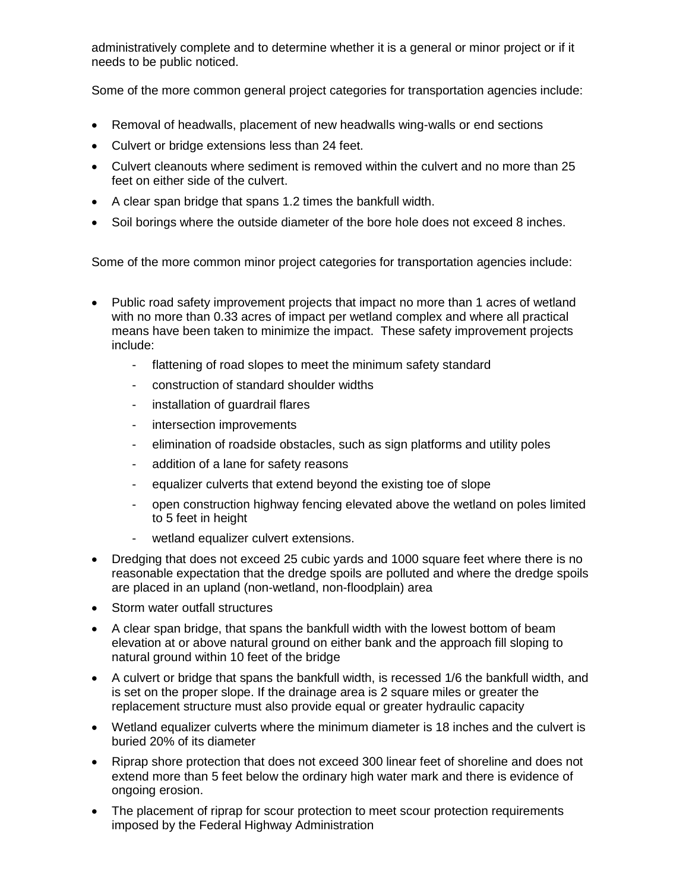administratively complete and to determine whether it is a general or minor project or if it needs to be public noticed.

Some of the more common general project categories for transportation agencies include:

- Removal of headwalls, placement of new headwalls wing-walls or end sections
- Culvert or bridge extensions less than 24 feet.
- Culvert cleanouts where sediment is removed within the culvert and no more than 25 feet on either side of the culvert.
- A clear span bridge that spans 1.2 times the bankfull width.
- Soil borings where the outside diameter of the bore hole does not exceed 8 inches.

Some of the more common minor project categories for transportation agencies include:

- Public road safety improvement projects that impact no more than 1 acres of wetland with no more than 0.33 acres of impact per wetland complex and where all practical means have been taken to minimize the impact. These safety improvement projects include:
	- flattening of road slopes to meet the minimum safety standard
	- construction of standard shoulder widths
	- installation of guardrail flares
	- intersection improvements
	- elimination of roadside obstacles, such as sign platforms and utility poles
	- addition of a lane for safety reasons
	- equalizer culverts that extend beyond the existing toe of slope
	- open construction highway fencing elevated above the wetland on poles limited to 5 feet in height
	- wetland equalizer culvert extensions.
- Dredging that does not exceed 25 cubic vards and 1000 square feet where there is no reasonable expectation that the dredge spoils are polluted and where the dredge spoils are placed in an upland (non-wetland, non-floodplain) area
- Storm water outfall structures
- A clear span bridge, that spans the bankfull width with the lowest bottom of beam elevation at or above natural ground on either bank and the approach fill sloping to natural ground within 10 feet of the bridge
- A culvert or bridge that spans the bankfull width, is recessed 1/6 the bankfull width, and is set on the proper slope. If the drainage area is 2 square miles or greater the replacement structure must also provide equal or greater hydraulic capacity
- Wetland equalizer culverts where the minimum diameter is 18 inches and the culvert is buried 20% of its diameter
- Riprap shore protection that does not exceed 300 linear feet of shoreline and does not extend more than 5 feet below the ordinary high water mark and there is evidence of ongoing erosion.
- The placement of riprap for scour protection to meet scour protection requirements imposed by the Federal Highway Administration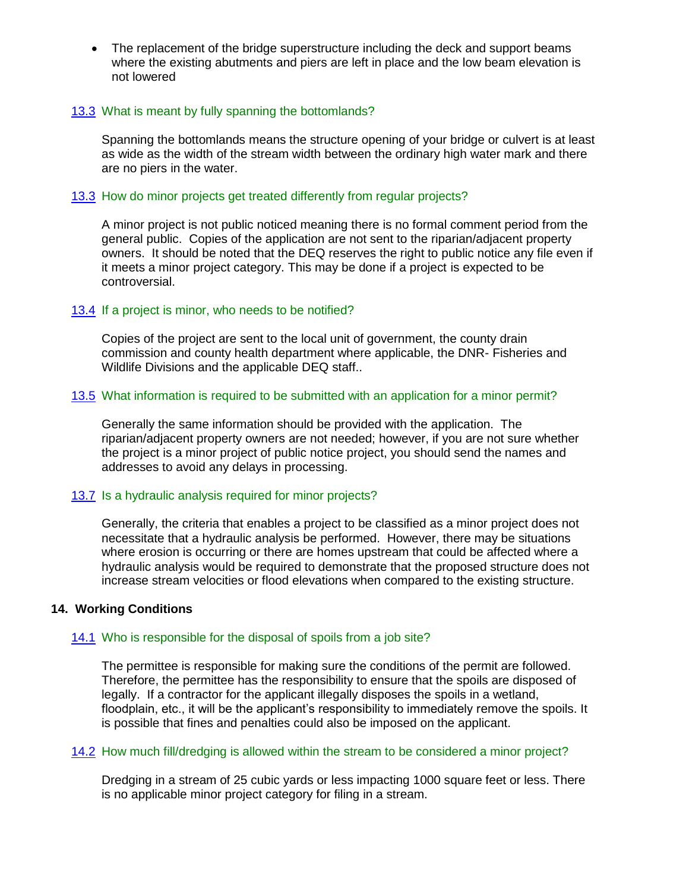• The replacement of the bridge superstructure including the deck and support beams where the existing abutments and piers are left in place and the low beam elevation is not lowered

#### 13.3 What is meant by fully spanning the bottomlands?

Spanning the bottomlands means the structure opening of your bridge or culvert is at least as wide as the width of the stream width between the ordinary high water mark and there are no piers in the water.

#### 13.3 How do minor projects get treated differently from regular projects?

A minor project is not public noticed meaning there is no formal comment period from the general public. Copies of the application are not sent to the riparian/adjacent property owners. It should be noted that the DEQ reserves the right to public notice any file even if it meets a minor project category. This may be done if a project is expected to be controversial.

#### 13.4 If a project is minor, who needs to be notified?

Copies of the project are sent to the local unit of government, the county drain commission and county health department where applicable, the DNR- Fisheries and Wildlife Divisions and the applicable DEQ staff..

#### 13.5 What information is required to be submitted with an application for a minor permit?

Generally the same information should be provided with the application. The riparian/adjacent property owners are not needed; however, if you are not sure whether the project is a minor project of public notice project, you should send the names and addresses to avoid any delays in processing.

## 13.7 Is a hydraulic analysis required for minor projects?

Generally, the criteria that enables a project to be classified as a minor project does not necessitate that a hydraulic analysis be performed. However, there may be situations where erosion is occurring or there are homes upstream that could be affected where a hydraulic analysis would be required to demonstrate that the proposed structure does not increase stream velocities or flood elevations when compared to the existing structure.

#### **14. Working Conditions**

## 14.1 Who is responsible for the disposal of spoils from a job site?

The permittee is responsible for making sure the conditions of the permit are followed. Therefore, the permittee has the responsibility to ensure that the spoils are disposed of legally. If a contractor for the applicant illegally disposes the spoils in a wetland, floodplain, etc., it will be the applicant's responsibility to immediately remove the spoils. It is possible that fines and penalties could also be imposed on the applicant.

#### 14.2 How much fill/dredging is allowed within the stream to be considered a minor project?

Dredging in a stream of 25 cubic yards or less impacting 1000 square feet or less. There is no applicable minor project category for filing in a stream.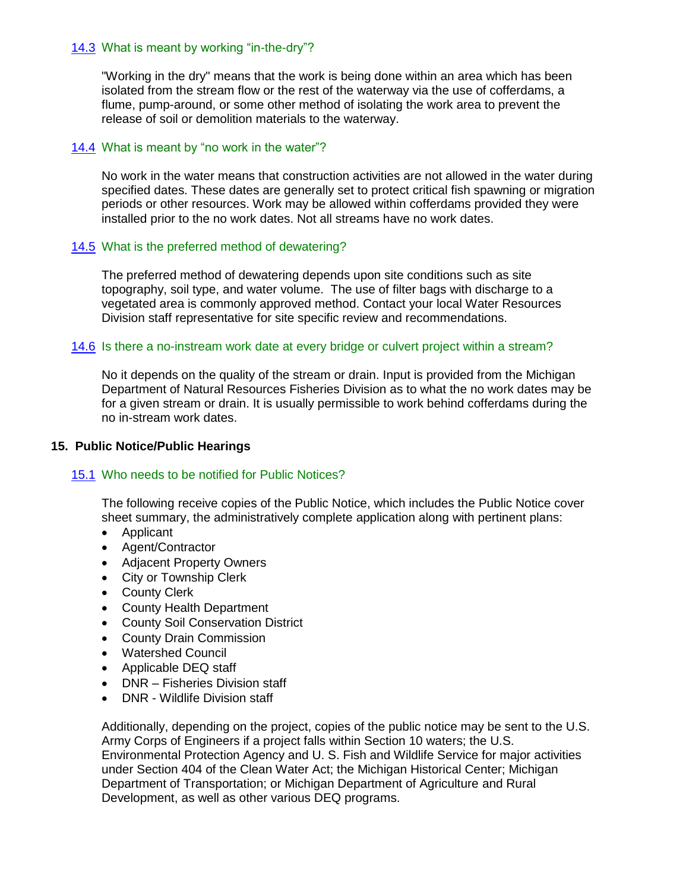#### 14.3 What is meant by working "in-the-dry"?

"Working in the dry" means that the work is being done within an area which has been isolated from the stream flow or the rest of the waterway via the use of cofferdams, a flume, pump-around, or some other method of isolating the work area to prevent the release of soil or demolition materials to the waterway.

## 14.4 What is meant by "no work in the water"?

No work in the water means that construction activities are not allowed in the water during specified dates. These dates are generally set to protect critical fish spawning or migration periods or other resources. Work may be allowed within cofferdams provided they were installed prior to the no work dates. Not all streams have no work dates.

#### 14.5 What is the preferred method of dewatering?

The preferred method of dewatering depends upon site conditions such as site topography, soil type, and water volume. The use of filter bags with discharge to a vegetated area is commonly approved method. Contact your local Water Resources Division staff representative for site specific review and recommendations.

#### 14.6 Is there a no-instream work date at every bridge or culvert project within a stream?

No it depends on the quality of the stream or drain. Input is provided from the Michigan Department of Natural Resources Fisheries Division as to what the no work dates may be for a given stream or drain. It is usually permissible to work behind cofferdams during the no in-stream work dates.

#### **15. Public Notice/Public Hearings**

#### 15.1 Who needs to be notified for Public Notices?

The following receive copies of the Public Notice, which includes the Public Notice cover sheet summary, the administratively complete application along with pertinent plans:

- Applicant
- Agent/Contractor
- Adjacent Property Owners
- City or Township Clerk
- County Clerk
- County Health Department
- County Soil Conservation District
- County Drain Commission
- Watershed Council
- Applicable DEQ staff
- DNR Fisheries Division staff
- DNR Wildlife Division staff

Additionally, depending on the project, copies of the public notice may be sent to the U.S. Army Corps of Engineers if a project falls within Section 10 waters; the U.S. Environmental Protection Agency and U. S. Fish and Wildlife Service for major activities under Section 404 of the Clean Water Act; the Michigan Historical Center; Michigan Department of Transportation; or Michigan Department of Agriculture and Rural Development, as well as other various DEQ programs.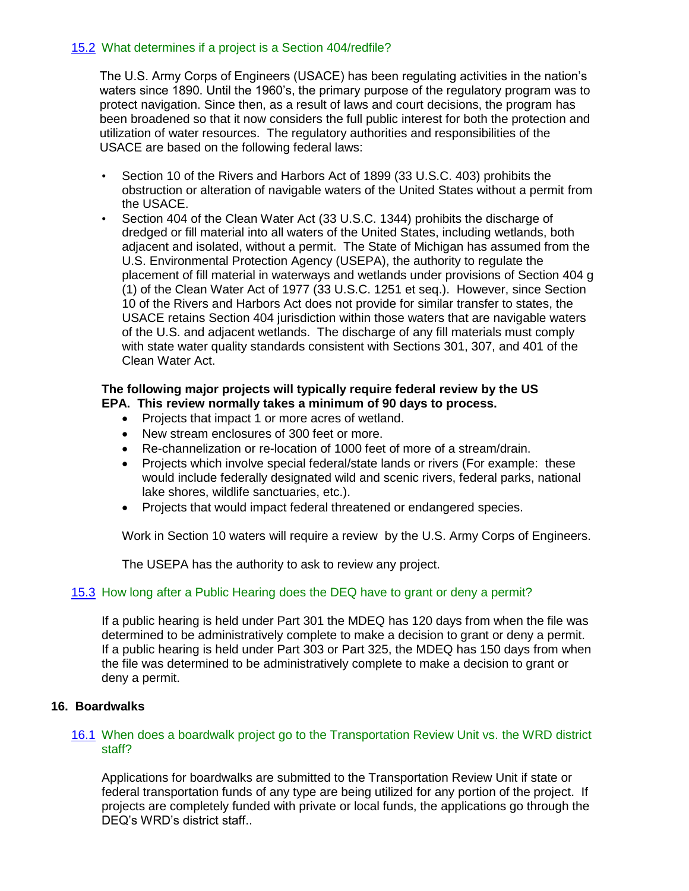## 15.2 What determines if a project is a Section 404/redfile?

The U.S. Army Corps of Engineers (USACE) has been regulating activities in the nation's waters since 1890. Until the 1960's, the primary purpose of the regulatory program was to protect navigation. Since then, as a result of laws and court decisions, the program has been broadened so that it now considers the full public interest for both the protection and utilization of water resources. The regulatory authorities and responsibilities of the USACE are based on the following federal laws:

- Section 10 of the Rivers and Harbors Act of 1899 (33 U.S.C. 403) prohibits the obstruction or alteration of navigable waters of the United States without a permit from the USACE.
- Section 404 of the Clean Water Act (33 U.S.C. 1344) prohibits the discharge of dredged or fill material into all waters of the United States, including wetlands, both adjacent and isolated, without a permit. The State of Michigan has assumed from the U.S. Environmental Protection Agency (USEPA), the authority to regulate the placement of fill material in waterways and wetlands under provisions of Section 404 g (1) of the Clean Water Act of 1977 (33 U.S.C. 1251 et seq.). However, since Section 10 of the Rivers and Harbors Act does not provide for similar transfer to states, the USACE retains Section 404 jurisdiction within those waters that are navigable waters of the U.S. and adjacent wetlands. The discharge of any fill materials must comply with state water quality standards consistent with Sections 301, 307, and 401 of the Clean Water Act.

#### **The following major projects will typically require federal review by the US EPA. This review normally takes a minimum of 90 days to process.**

- Projects that impact 1 or more acres of wetland.
- New stream enclosures of 300 feet or more.
- Re-channelization or re-location of 1000 feet of more of a stream/drain.
- Projects which involve special federal/state lands or rivers (For example: these would include federally designated wild and scenic rivers, federal parks, national lake shores, wildlife sanctuaries, etc.).
- Projects that would impact federal threatened or endangered species.

Work in Section 10 waters will require a review by the U.S. Army Corps of Engineers.

The USEPA has the authority to ask to review any project.

#### 15.3 How long after a Public Hearing does the DEQ have to grant or deny a permit?

If a public hearing is held under Part 301 the MDEQ has 120 days from when the file was determined to be administratively complete to make a decision to grant or deny a permit. If a public hearing is held under Part 303 or Part 325, the MDEQ has 150 days from when the file was determined to be administratively complete to make a decision to grant or deny a permit.

#### **16. Boardwalks**

#### 16.1 When does a boardwalk project go to the Transportation Review Unit vs. the WRD district staff?

Applications for boardwalks are submitted to the Transportation Review Unit if state or federal transportation funds of any type are being utilized for any portion of the project. If projects are completely funded with private or local funds, the applications go through the DEQ's WRD's district staff..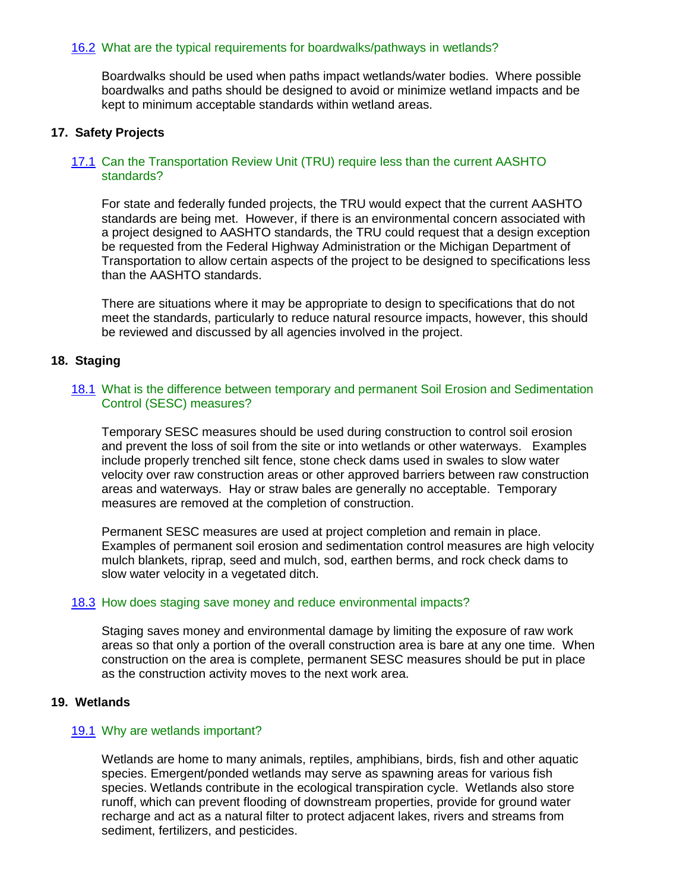#### 16.2 What are the typical requirements for boardwalks/pathways in wetlands?

Boardwalks should be used when paths impact wetlands/water bodies. Where possible boardwalks and paths should be designed to avoid or minimize wetland impacts and be kept to minimum acceptable standards within wetland areas.

#### **17. Safety Projects**

#### 17.1 Can the Transportation Review Unit (TRU) require less than the current AASHTO standards?

For state and federally funded projects, the TRU would expect that the current AASHTO standards are being met. However, if there is an environmental concern associated with a project designed to AASHTO standards, the TRU could request that a design exception be requested from the Federal Highway Administration or the Michigan Department of Transportation to allow certain aspects of the project to be designed to specifications less than the AASHTO standards.

There are situations where it may be appropriate to design to specifications that do not meet the standards, particularly to reduce natural resource impacts, however, this should be reviewed and discussed by all agencies involved in the project.

#### **18. Staging**

#### 18.1 What is the difference between temporary and permanent Soil Erosion and Sedimentation Control (SESC) measures?

Temporary SESC measures should be used during construction to control soil erosion and prevent the loss of soil from the site or into wetlands or other waterways. Examples include properly trenched silt fence, stone check dams used in swales to slow water velocity over raw construction areas or other approved barriers between raw construction areas and waterways. Hay or straw bales are generally no acceptable. Temporary measures are removed at the completion of construction.

Permanent SESC measures are used at project completion and remain in place. Examples of permanent soil erosion and sedimentation control measures are high velocity mulch blankets, riprap, seed and mulch, sod, earthen berms, and rock check dams to slow water velocity in a vegetated ditch.

#### 18.3 How does staging save money and reduce environmental impacts?

Staging saves money and environmental damage by limiting the exposure of raw work areas so that only a portion of the overall construction area is bare at any one time. When construction on the area is complete, permanent SESC measures should be put in place as the construction activity moves to the next work area.

#### **19. Wetlands**

#### 19.1 Why are wetlands important?

Wetlands are home to many animals, reptiles, amphibians, birds, fish and other aquatic species. Emergent/ponded wetlands may serve as spawning areas for various fish species. Wetlands contribute in the ecological transpiration cycle. Wetlands also store runoff, which can prevent flooding of downstream properties, provide for ground water recharge and act as a natural filter to protect adjacent lakes, rivers and streams from sediment, fertilizers, and pesticides.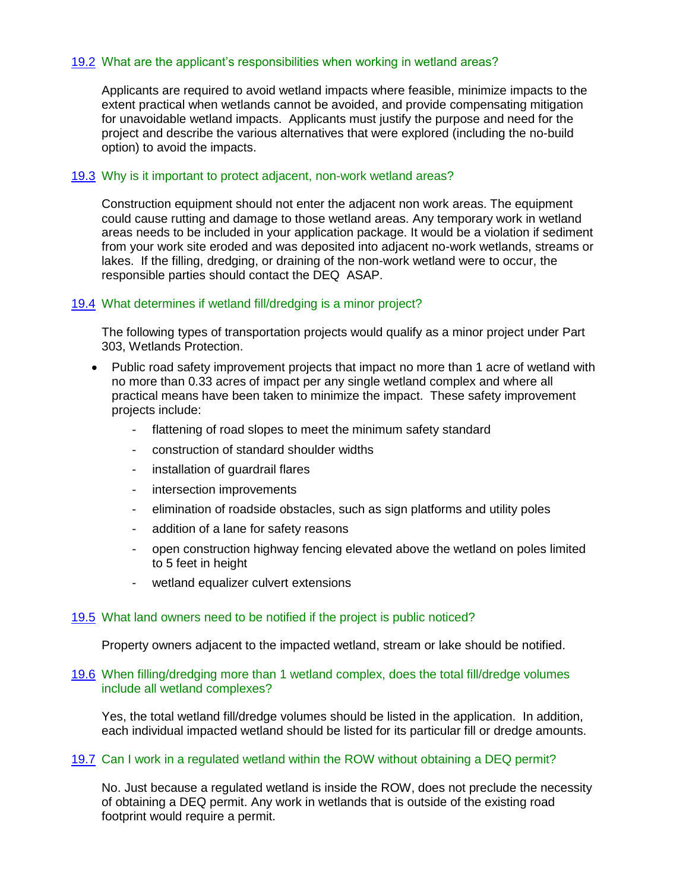## 19.2 What are the applicant's responsibilities when working in wetland areas?

Applicants are required to avoid wetland impacts where feasible, minimize impacts to the extent practical when wetlands cannot be avoided, and provide compensating mitigation for unavoidable wetland impacts. Applicants must justify the purpose and need for the project and describe the various alternatives that were explored (including the no-build option) to avoid the impacts.

#### 19.3 Why is it important to protect adjacent, non-work wetland areas?

Construction equipment should not enter the adjacent non work areas. The equipment could cause rutting and damage to those wetland areas. Any temporary work in wetland areas needs to be included in your application package. It would be a violation if sediment from your work site eroded and was deposited into adjacent no-work wetlands, streams or lakes. If the filling, dredging, or draining of the non-work wetland were to occur, the responsible parties should contact the DEQ ASAP.

#### 19.4 What determines if wetland fill/dredging is a minor project?

The following types of transportation projects would qualify as a minor project under Part 303, Wetlands Protection.

- Public road safety improvement projects that impact no more than 1 acre of wetland with no more than 0.33 acres of impact per any single wetland complex and where all practical means have been taken to minimize the impact. These safety improvement projects include:
	- flattening of road slopes to meet the minimum safety standard
	- construction of standard shoulder widths
	- installation of guardrail flares
	- intersection improvements
	- elimination of roadside obstacles, such as sign platforms and utility poles
	- addition of a lane for safety reasons
	- open construction highway fencing elevated above the wetland on poles limited to 5 feet in height
	- wetland equalizer culvert extensions

#### 19.5 What land owners need to be notified if the project is public noticed?

Property owners adjacent to the impacted wetland, stream or lake should be notified.

#### 19.6 When filling/dredging more than 1 wetland complex, does the total fill/dredge volumes include all wetland complexes?

Yes, the total wetland fill/dredge volumes should be listed in the application. In addition, each individual impacted wetland should be listed for its particular fill or dredge amounts.

#### 19.7 Can I work in a regulated wetland within the ROW without obtaining a DEQ permit?

No. Just because a regulated wetland is inside the ROW, does not preclude the necessity of obtaining a DEQ permit. Any work in wetlands that is outside of the existing road footprint would require a permit.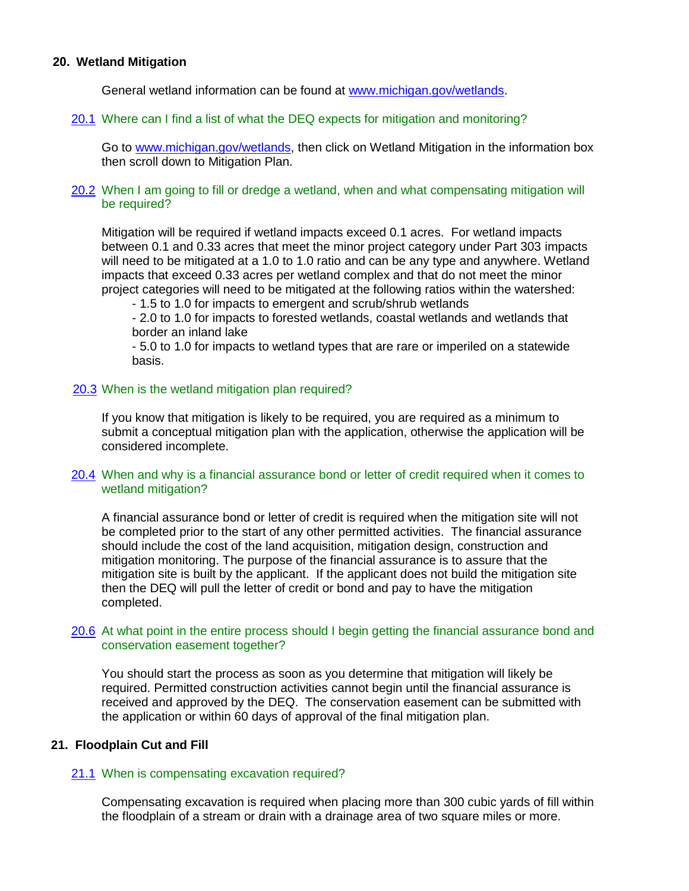#### **20. Wetland Mitigation**

General wetland information can be found at [www.michigan.gov/wetlands.](http://www.michigan.gov/wetlands)

#### 20.1 Where can I find a list of what the DEQ expects for mitigation and monitoring?

Go to [www.michigan.gov/wetlands,](http://www.michigan.gov/wetlands) then click on Wetland Mitigation in the information box then scroll down to Mitigation Plan.

#### 20.2 When I am going to fill or dredge a wetland, when and what compensating mitigation will be required?

Mitigation will be required if wetland impacts exceed 0.1 acres. For wetland impacts between 0.1 and 0.33 acres that meet the minor project category under Part 303 impacts will need to be mitigated at a 1.0 to 1.0 ratio and can be any type and anywhere. Wetland impacts that exceed 0.33 acres per wetland complex and that do not meet the minor project categories will need to be mitigated at the following ratios within the watershed:

- 1.5 to 1.0 for impacts to emergent and scrub/shrub wetlands

- 2.0 to 1.0 for impacts to forested wetlands, coastal wetlands and wetlands that border an inland lake

- 5.0 to 1.0 for impacts to wetland types that are rare or imperiled on a statewide basis.

#### 20.3 When is the wetland mitigation plan required?

If you know that mitigation is likely to be required, you are required as a minimum to submit a conceptual mitigation plan with the application, otherwise the application will be considered incomplete.

#### 20.4 When and why is a financial assurance bond or letter of credit required when it comes to wetland mitigation?

A financial assurance bond or letter of credit is required when the mitigation site will not be completed prior to the start of any other permitted activities. The financial assurance should include the cost of the land acquisition, mitigation design, construction and mitigation monitoring. The purpose of the financial assurance is to assure that the mitigation site is built by the applicant. If the applicant does not build the mitigation site then the DEQ will pull the letter of credit or bond and pay to have the mitigation completed.

#### 20.6 At what point in the entire process should I begin getting the financial assurance bond and conservation easement together?

You should start the process as soon as you determine that mitigation will likely be required. Permitted construction activities cannot begin until the financial assurance is received and approved by the DEQ. The conservation easement can be submitted with the application or within 60 days of approval of the final mitigation plan.

#### **21. Floodplain Cut and Fill**

#### 21.1 When is compensating excavation required?

Compensating excavation is required when placing more than 300 cubic yards of fill within the floodplain of a stream or drain with a drainage area of two square miles or more.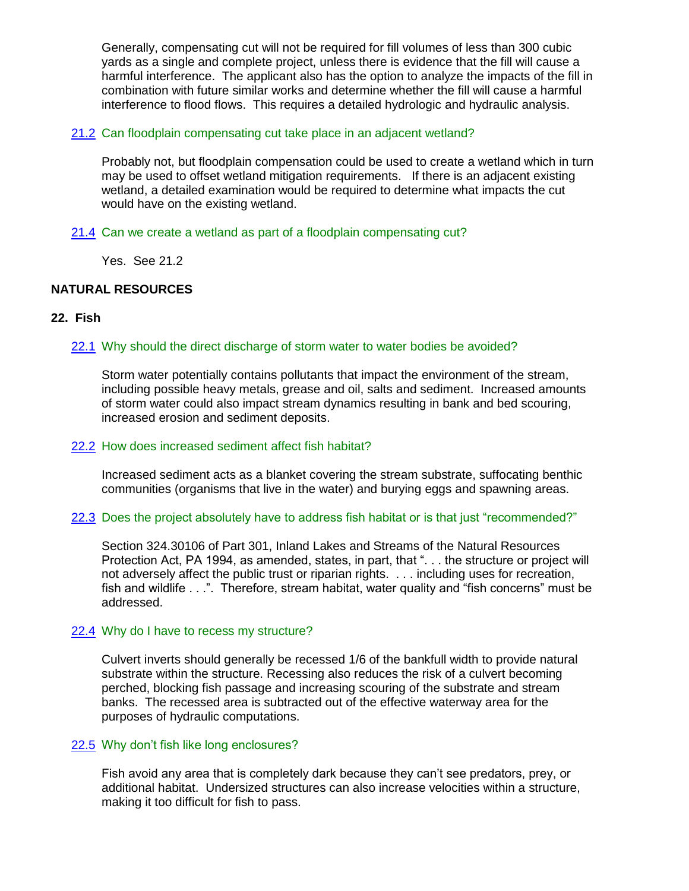Generally, compensating cut will not be required for fill volumes of less than 300 cubic yards as a single and complete project, unless there is evidence that the fill will cause a harmful interference. The applicant also has the option to analyze the impacts of the fill in combination with future similar works and determine whether the fill will cause a harmful interference to flood flows. This requires a detailed hydrologic and hydraulic analysis.

## 21.2 Can floodplain compensating cut take place in an adjacent wetland?

Probably not, but floodplain compensation could be used to create a wetland which in turn may be used to offset wetland mitigation requirements. If there is an adjacent existing wetland, a detailed examination would be required to determine what impacts the cut would have on the existing wetland.

## 21.4 Can we create a wetland as part of a floodplain compensating cut?

Yes. See 21.2

## **NATURAL RESOURCES**

#### **22. Fish**

#### 22.1 Why should the direct discharge of storm water to water bodies be avoided?

Storm water potentially contains pollutants that impact the environment of the stream, including possible heavy metals, grease and oil, salts and sediment. Increased amounts of storm water could also impact stream dynamics resulting in bank and bed scouring, increased erosion and sediment deposits.

#### 22.2 How does increased sediment affect fish habitat?

Increased sediment acts as a blanket covering the stream substrate, suffocating benthic communities (organisms that live in the water) and burying eggs and spawning areas.

#### 22.3 Does the project absolutely have to address fish habitat or is that just "recommended?"

Section 324.30106 of Part 301, Inland Lakes and Streams of the Natural Resources Protection Act, PA 1994, as amended, states, in part, that ". . . the structure or project will not adversely affect the public trust or riparian rights. . . . including uses for recreation, fish and wildlife . . .". Therefore, stream habitat, water quality and "fish concerns" must be addressed.

#### 22.4 Why do I have to recess my structure?

Culvert inverts should generally be recessed 1/6 of the bankfull width to provide natural substrate within the structure. Recessing also reduces the risk of a culvert becoming perched, blocking fish passage and increasing scouring of the substrate and stream banks. The recessed area is subtracted out of the effective waterway area for the purposes of hydraulic computations.

#### 22.5 Why don't fish like long enclosures?

Fish avoid any area that is completely dark because they can't see predators, prey, or additional habitat. Undersized structures can also increase velocities within a structure, making it too difficult for fish to pass.